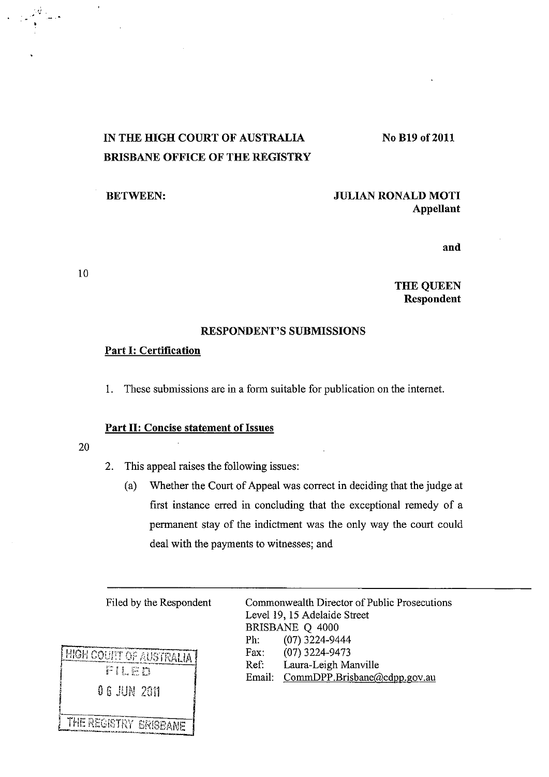# IN THE HIGH COURT OF AUSTRALIA BRISBANE OFFICE OF THE REGISTRY

# BETWEEN: JULIAN RONALD MOTI Appellant

No B19 of 2011

and

THE QUEEN Respondent

# RESPONDENT'S SUBMlSSIONS

#### Part I: Certification

1. These submissions are in a form suitable for publication on the internet.

#### Part II: Concise statement of Issues

20

10

'./ . .

- 2. This appeal raises the following issues:
	- (a) Whether the Court of Appeal was correct in deciding that the judge at first instance erred in concluding that the exceptional remedy of a permanent stay of the indictment was the only way the court could deal with the payments to witnesses; and



Filed by the Respondent Commonwealth Director of Public Prosecutions Level 19, 15 Adelaide Street BRISBANE Q 4000 Ph: (07) 3224-9444 Fax: (07) 3224-9473 Ref: Laura-Leigh Manville Email: CommDPP.Brisbane@cdpp.gov.au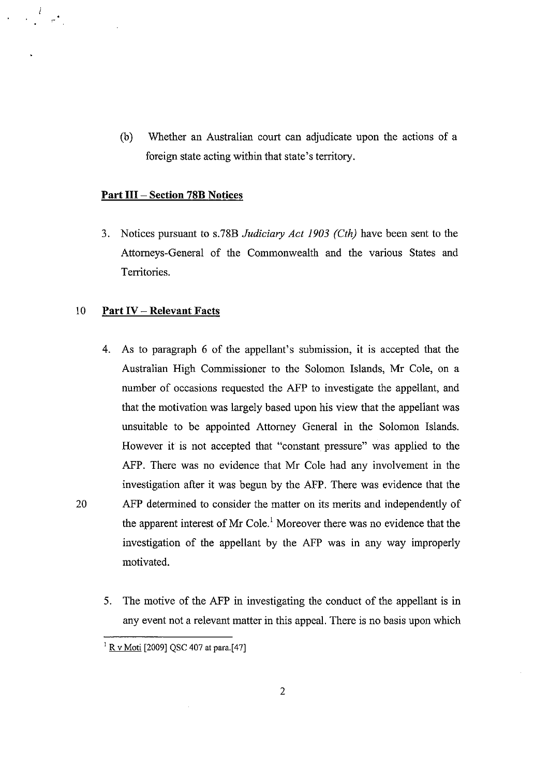(b) Whether an Australian court can adjudicate upon the actions of a foreign state acting within that state's territory.

# **Part III - Section 78B Notices**

3. Notices pursuant to s.7SB *Judiciary Act 1903 (Cth)* have been sent to the Attorneys-General of the Commonwealth and the various States and Territories.

# 10 **Part IV - Relevant Facts**

,-

- 4. As to paragraph 6 of the appellant's submission, it is accepted that the Australian High Commissioner to the Solomon Islands, Mr Cole, on a number of occasions requested the AFP to investigate the appellant, and that the motivation was largely based upon his view that the appellant was unsuitable to be appointed Attorney General in the Solomon Islands. However it is not accepted that "constant pressure" was applied to the AFP. There was no evidence that Mr Cole had any involvement in the investigation after it was begun by the AFP. There was evidence that the 20 AFP determined to consider the matter on its merits and independently of the apparent interest of Mr Cole.<sup>1</sup> Moreover there was no evidence that the investigation of the appellant by the AFP was in any way improperly motivated.
	- 5. The motive of the AFP in investigating the conduct of the appellant is in any event not a relevant matter in this appeal. There is no basis upon which

<sup>&</sup>lt;sup>1</sup> R v Moti [2009] QSC 407 at para. [47]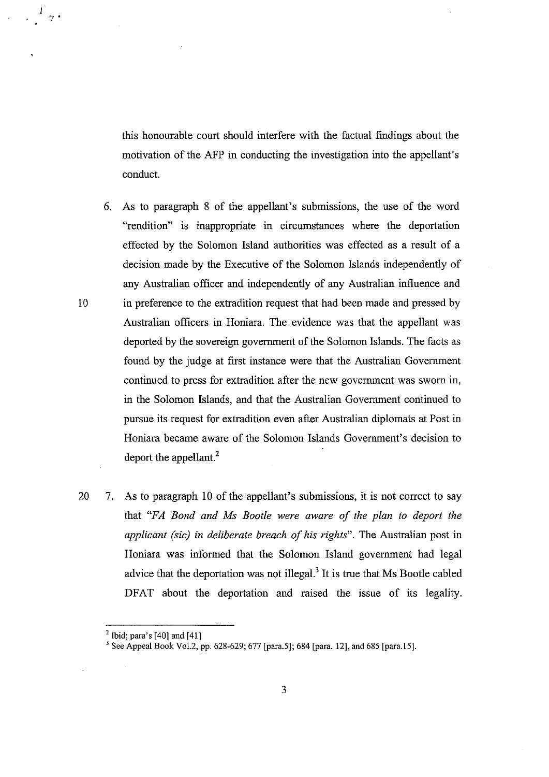this honourable court should interfere with the factual findings about the motivation of the AFP in conducting the investigation into the appellant's conduct.

- 6. As to paragraph 8 of the appellant's submissions, the use of the word "rendition" is inappropriate in circumstances where the deportation effected by the Solomon Island authorities was effected as a result of a decision made by the Executive of the Solomon Islands independently of any Australian officer and independently of any Australian influence and lOin preference to the extradition request that had been made and pressed by Australian officers in Honiara. The evidence was that the appellant was deported by the sovereign government of the Solomon Islands. The facts as found by the judge at first instance were that the Australian Government continued to press for extradition after the new government was sworn in, in the Solomon Islands, and that the Australian Government continued to pursue its request for extradition even after Australian diplomats at Post in Honiara became aware of the Solomon Islands Government's decision to deport the appellant.<sup>2</sup>
- 20 7. As to paragraph 10 of the appellant's submissions, it is not correct to say that *"FA Bond and Ms Bootle were aware of the plan to deport the applicant* (sic) *in deliberate breach of his rights".* The Australian post in Honiara was informed that the Solomon Island government had legal advice that the deportation was not illegal.<sup>3</sup>**It** is true that Ms Bootle cabled DFAT about the deportation and raised the issue of its legality.

-; .

 $<sup>2</sup>$  Ibid; para's [40] and [41]</sup>

<sup>&</sup>lt;sup>3</sup> See Appeal Book Vol.2, pp. 628-629; 677 [para.5]; 684 [para. 12], and 685 [para.15].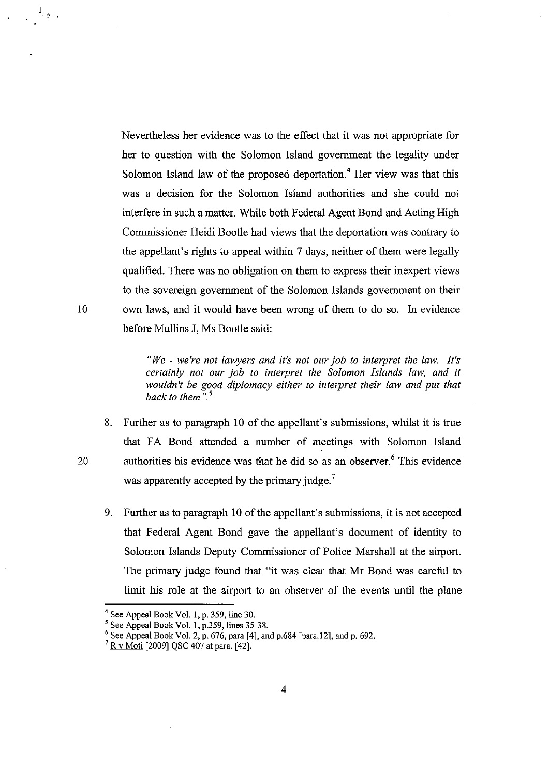Nevertheless her evidence was to the effect that it was not appropriate for her to question with the Solomon Island government the legality under Solomon Island law of the proposed deportation,<sup> $4$ </sup> Her view was that this was a decision for the Solomon Island authorities and she could not interfere in such a matter. While both Federal Agent Bond and Acting High Commissioner Heidi Bootle had views that the deportation was contrary to the appellant's rights to appeal within 7 days, neither of them were legally qualified. There was no obligation on them to express their inexpert views to the sovereign government of the Solomon Islands government on their 10 own laws, and it would have been wrong of them to do so. In evidence before Mullins J, Ms Bootle said:

> *"We* - *we're not lawyers and it's not our job to interpret the law. It's certainly not our job to interpret the Solomon Islands law, and it wouldn't be good diplomacy either to interpret their law and put that back to them* ",5

- 8. Further as to paragraph 10 of the appellant's submissions, whilst it is true that FA Bond attended a number of meetings with Solomon Island 20 authorities his evidence was that he did so as an observer.<sup>6</sup> This evidence was apparently accepted by the primary judge.<sup>7</sup>
	- 9, Further as to paragraph 10 of the appellant's submissions, it is not accepted that Federal Agent Bond gave the appellant's document of identity to Solomon Islands Deputy Commissioner of Police Marshall at the airport. The primary judge found that "it was clear that Mr Bond was careful to limit his role at the airport to an observer of the events until the plane

 $1_{\langle g \rangle}$  ,

<sup>4</sup> See Appeal Book VoL I, p, 359, line 30,

<sup>&</sup>lt;sup>5</sup> See Appeal Book Vol. 1, p.359, lines 35-38.

 $6$  See Appeal Book Vol. 2, p. 676, para [4], and p. 684 [para. 12], and p. 692.

<sup>&</sup>lt;sup>7</sup> R v Moti [2009] QSC 407 at para. [42].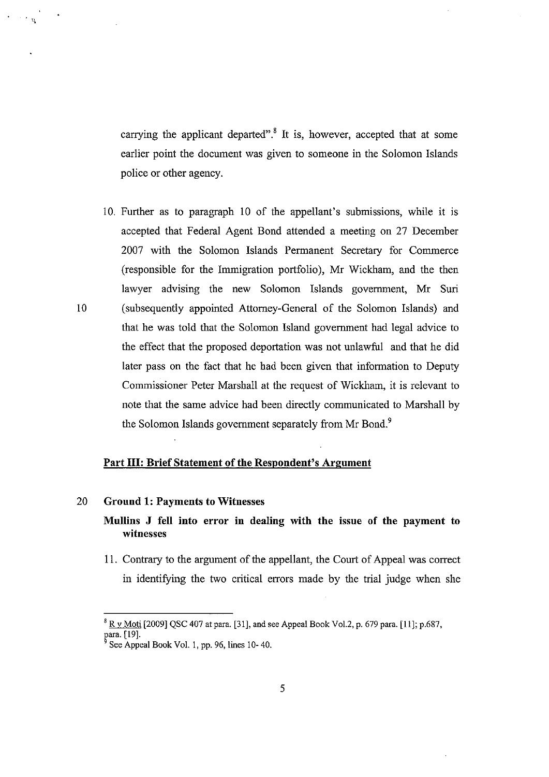carrying the applicant departed".<sup>8</sup> It is, however, accepted that at some earlier point the document was given to someone in the Solomon Islands police or other agency.

10. Further as to paragraph 10 of the appellant's submissions, while it is accepted that Federal Agent Bond attended a meeting on 27 December 2007 with the Solomon Islands Permanent Secretary for Commerce (responsible for the Immigration portfolio), Mr Wickham, and the then lawyer advising the new Solomon Islands govermnent, Mr Suri 10 (subsequently appointed Attorney-General of the Solomon Islands) and that he was told that the Solomon Island govermnent had legal advice to the effect that the proposed deportation was not unlawful and that he did later pass on the fact that he had been given that information to Deputy Commissioner Peter Marshall at the request of Wickham, it is relevant to note that the same advice had been directly communicated to Marshall by the Solomon Islands government separately from Mr Bond.<sup>9</sup>

# **Part Ill: Brief Statement of the Respondent's Argument**

# 20 **Ground 1: Payments to Witnesses**

 $\sim$   $\sim$   $_{\rm H}$ 

**Mullins J fell into error in dealing with the issue of the payment to witnesses** 

11. Contrary to the argument of the appellant, the Court of Appeal was correct in identifying the two critical errors made by the trial judge when she

 $8 \times 80$  Moti [2009] QSC 407 at para. [31], and see Appeal Book Vol.2, p. 679 para. [11]; p.687, para. [19].

See Appeal Book Vol. 1, pp. 96, lines 10-40.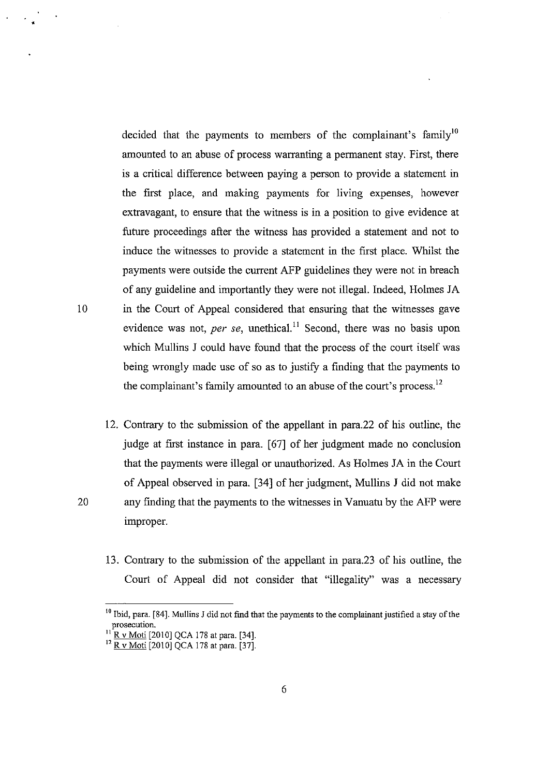decided that the payments to members of the complainant's family<sup>10</sup> amounted to an abuse of process warranting a permanent stay. First, there is a critical difference between paying a person to provide a statement in the first place, and making payments for living expenses, however extravagant, to ensure that the witness is in a position to give evidence at future proceedings after the witness has provided a statement and not to induce the witnesses to provide a statement in the first place. Whilst the payments were outside the current AFP guidelines they were not in breach of any guideline and importantly they were not illegal. Indeed, Holmes *lA*  10 in the Court of Appeal considered that ensuring that the witnesses gave evidence was not, *per se*, unethical.<sup>11</sup> Second, there was no basis upon which Mullins *1* could have found that the process of the court itself was being wrongly made use of so as to justify a finding that the payments to the complainant's family amounted to an abuse of the court's process.<sup>12</sup>

- 12. Contrary to the submission of the appellant in para.22 of his outline, the judge at first instance in para. [67] of her judgment made no conclusion that the payments were illegal or unauthorized. As Holmes *lA* in the Court of Appeal observed in para. [34] of her judgment, Mullins J did not make 20 any finding that the payments to the witnesses in Vanuatu by the AFP were improper.
	- 13. Contrary to the submission of the appellant in para.23 of his outline, the Court of Appeal did not consider that "illegality" was a necessary

•

<sup>&</sup>lt;sup>10</sup> Ibid, para. [84]. Mullins J did not find that the payments to the complainant justified a stay of the **prosecution.** 

 $11$  R v Moti [2010] QCA 178 at para. [34].

<sup>&</sup>lt;sup>12</sup> R v Moti [2010] QCA 178 at para. [37].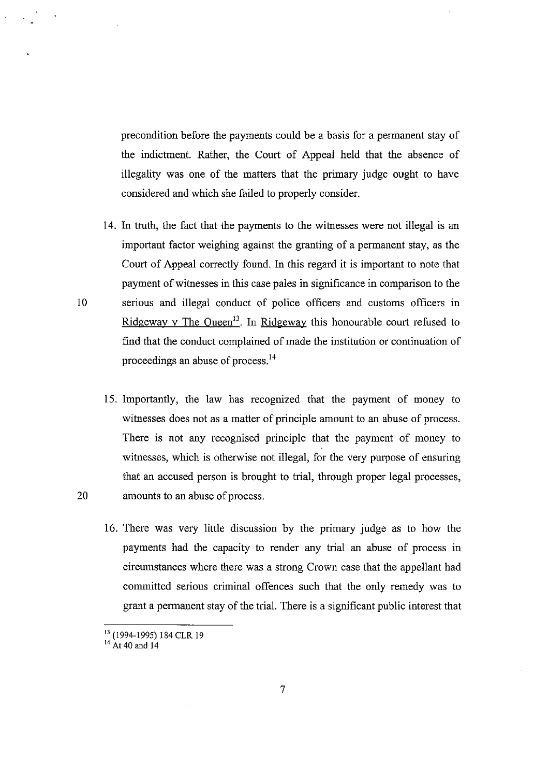precondition before the payments could be a basis for a permanent stay of the indictment. Rather, the Court of Appeal held that the absence of illegality was one of the matters that the primary judge ought to have considered and which she failed to properly consider.

- 14. In truth, the fact that the payments to the witnesses were not illegal is an important factor weighing against the granting of a permanent stay, as the Court of Appeal correctly found. In this regard it is important to note that payment of witnesses in this case pales in significance in comparison to the 10 serious and illegal conduct of police officers and customs officers in Ridgeway v The Queen<sup>13</sup>. In Ridgeway this honourable court refused to find that the conduct complained of made the institution or continuation of proceedings an abuse of process. <sup>14</sup>
- 15. Importantly, the law has recognized that the payment of money to witnesses does not as a matter of principle amount to an abuse of process. There is not any recognised principle that the payment of money to witnesses, which is otherwise not illegal, for the very purpose of ensuring that an accused person is brought to trial, through proper legal processes, 20 amounts to an abuse of process.
	- 16. There was very little discussion by the primary judge as to how the payments had the capacity to render any trial an abuse of process in circumstances where there was a strong Crown case that the appellant had committed serious criminal offences such that the only remedy was to grant a permanent stay of the trial. There is a significant public interest that

<sup>13 (1994-1995) 184</sup> CLR 19

 $14$  At 40 and 14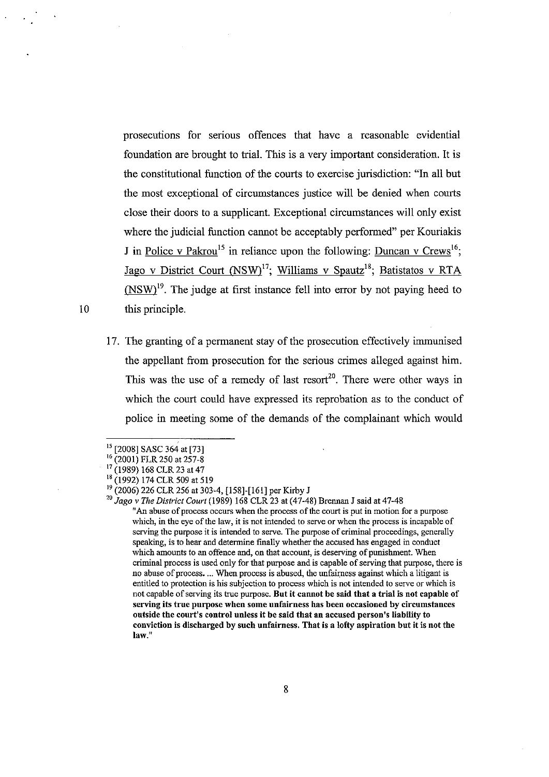prosecutions for serious offences that have a reasonable evidential foundation are brought to trial. This is a very important consideration. It is the constitutional function of the courts to exercise jurisdiction: "In all but the most exceptional of circumstances justice will be denied when courts close their doors to a supplicant. Exceptional circumstances will only exist where the judicial function cannot be acceptably performed" per Kouriakis J in Police v Pakrou<sup>15</sup> in reliance upon the following: Duncan v Crews<sup>16</sup>; Jago v District Court (NSW)<sup>17</sup>; Williams v Spautz<sup>18</sup>; Batistatos v RTA  $(NSW)^{19}$ . The judge at first instance fell into error by not paying heed to 10 this principle.

17. The granting of a permanent stay of the prosecution effectively immunised the appellant from prosecution for the serious crimes alleged against him. This was the use of a remedy of last resort<sup>20</sup>. There were other ways in which the court could have expressed its reprobation as to the conduct of police in meeting some of the demands of the complainant which would

<sup>15 [2008]</sup> SASC 364 at [73]

<sup>16 (2001)</sup> FLR 250 at 257-8

<sup>&</sup>lt;sup>17</sup> (1989) 168 CLR 23 at 47

<sup>&</sup>lt;sup>18</sup> (1992) 174 CLR 509 at 519

<sup>&</sup>lt;sup>19</sup> (2006) 226 CLR 256 at 303-4, [158]-[161] per Kirby J

<sup>20</sup>*Jago* v *The District Court* (1989) 168 CLR 23 at (47-48) Brennan J said at 47-48

<sup>11</sup>**An abuse of process occurs when the process of the court is put in motion for a purpose which, in the eye** of the **law, it is not intended to serve or when the process is incapable of serving the purpose it is intended to serve. The purpose of criminal proceedings, generally speaking, is to hear and detennine fmally whether the accused has engaged in conduct**  which amounts to an offence and, on that account, is deserving of punishment. When **criminal process is used only for that purpose and is capable of serving that purpose, there is**  no abuse of process.... When process is abused, the unfairness against which a litigant is **entitled to protection is his subjection to process which is not intended to serve or which is**  not capable of serving its true purpose. But it cannot be said that a trial is not capable of **serving its true purpose when some unfairness has been occasioned by circumstances**  outside the court's control unless it be said that an accused person's liability to conviction is discharged by such unfairness. That is a lofty aspiration but it is not the law."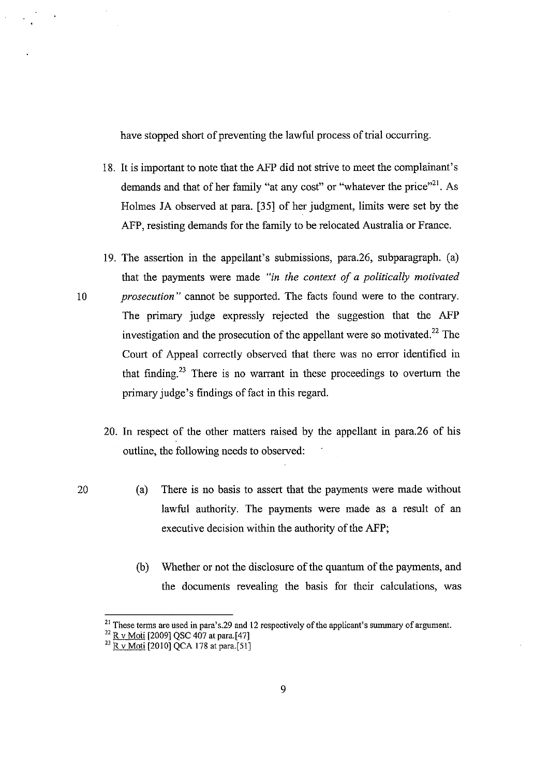have stopped short of preventing the lawful process of trial occurring.

- 18. It is important to note that the AFP did not strive to meet the complainant's demands and that of her family "at any cost" or "whatever the price"<sup>21</sup>. As Holmes JA observed at para. [35] of her judgment, limits were set by the AFP, resisting demands for the family to be relocated Australia or France.
- 19. The assertion in the appellant's submissions, para.26, subparagraph. (a) that the payments were made *"in the context of a politically motivated*  10 *prosecution"* cannot be supported. The facts found were to the contrary. The primary judge expressly rejected the suggestion that the AFP investigation and the prosecution of the appellant were so motivated. 22 The Court of Appeal correctly observed that there was no error identified in that finding.<sup>23</sup> There is no warrant in these proceedings to overturn the primary judge's findings of fact in this regard.
	- 20. **In** respect of the other matters raised by the appellant in para.26 of his outline, the following needs to observed:
		- (a) There is no basis to assert that the payments were made without lawful authority. The payments were made as a result of an executive decision within the authority of the AFP;
			- (b) Whether or not the disclosure of the quantum of the payments, and the documents revealing the basis for their calculations, was

<sup>&</sup>lt;sup>21</sup> These terms are used in para's.29 and 12 respectively of the applicant's summary of argument.

 $^{22}$  R v Moti [2009] QSC 407 at para. [47]

<sup>&</sup>lt;sup>23</sup> R v Moti [2010] QCA 178 at para.[51]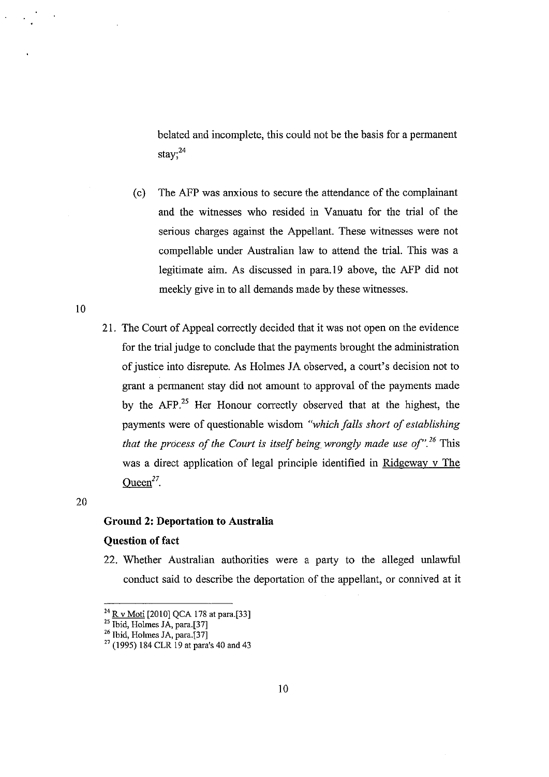belated and incomplete, this could not be the basis for a permanent stay;<sup>24</sup>

- (c) The AFP was anxious to secure the attendance of the complainant and the witnesses who resided in Vanuatu for the trial of the serious charges against the Appellant. These witnesses were not compellable under Australian law to attend the trial. This was a legitimate aim. As discussed in para.19 above, the AFP did not meekly give in to all demands made by these witnesses.
- 21. The Court of Appeal correctly decided that it was not open on the evidence for the trial judge to conclude that the payments brought the administration of justice into disrepute. As Holmes *lA* observed, a court's decision not to grant a permanent stay did not amount to approval of the payments made by the AFP.<sup>25</sup> Her Honour correctly observed that at the highest, the payments were of questionable wisdom *"which falls short of establishing that the process of the Court is itself being. wrongly made use of".26* This was a direct application of legal principle identified in Ridgeway v The Oueen $^{27}$ .

20

ID

# **Ground 2: Deportation to Australia**

#### **Question of fact**

22. Whether Australian authorities were a party to the alleged unlawful conduct said to describe the deportation of the appellant, or connived at it

<sup>&</sup>lt;sup>24</sup> <u>R v Moti</u> [2010] QCA 178 at para.[33]

<sup>&</sup>lt;sup>25</sup> Ibid, Holmes JA, para.[37]

<sup>&</sup>lt;sup>26</sup> Ibid, Holmes JA, para.[37]

 $27$  (1995) 184 CLR 19 at para's 40 and 43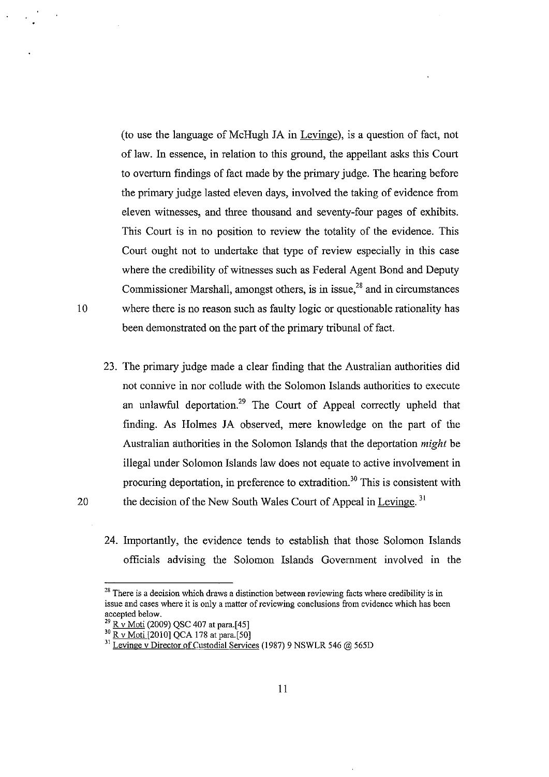(to use the language of McHugh JA in Levinge), is a question of fact, not of law. In essence, in relation to this gronnd, the appellant asks this Court to overturn fmdings of fact made by the primary judge. The hearing before the primary judge lasted eleven days, involved the taking of evidence from eleven witnesses, and three thousand and seventy-four pages of exhibits. This Court is in no position to review the totality of the evidence. This Court ought not to undertake that type of review especially in this case where the credibility of witnesses such as Federal Agent Bond and Deputy Commissioner Marshall, amongst others, is in issue, $28$  and in circumstances 10 where there is no reason such as faulty logic or questionable rationality has been demonstrated on the part of the primary tribunal of fact.

- 
- 23. The primary judge made a clear finding that the Australian authorities did not connive in nor collude with the Solomon Islands authorities to execute an unlawful deportation.<sup>29</sup> The Court of Appeal correctly upheld that finding. As Holmes JA observed, mere knowledge on the part of the Australian authorities in the Solomon Islands that the deportation *might* be illegal under Solomon Islands law does not equate to active involvement in procuring deportation, in preference to extradition.<sup>30</sup> This is consistent with 20 the decision of the New South Wales Court of Appeal in Levinge.  $31$ 
	- 24. Importantly, the evidence tends to establish that those Solomon Islands officials advising the Solomon Islands Govemment involved in the

<sup>&</sup>lt;sup>28</sup> There is a decision which draws a distinction between reviewing facts where credibility is in **issue and cases where it is only a matter of reviewing conclusions from evidence which has been**  accepted below.

<sup>&</sup>lt;sup>29</sup> R v Moti (2009) QSC 407 at para.[45]

<sup>&</sup>lt;sup>30</sup> R v Moti [2010] QCA 178 at para.[50]

<sup>&</sup>lt;sup>31</sup> Levinge v Director of Custodial Services (1987) 9 NSWLR 546 @ 565D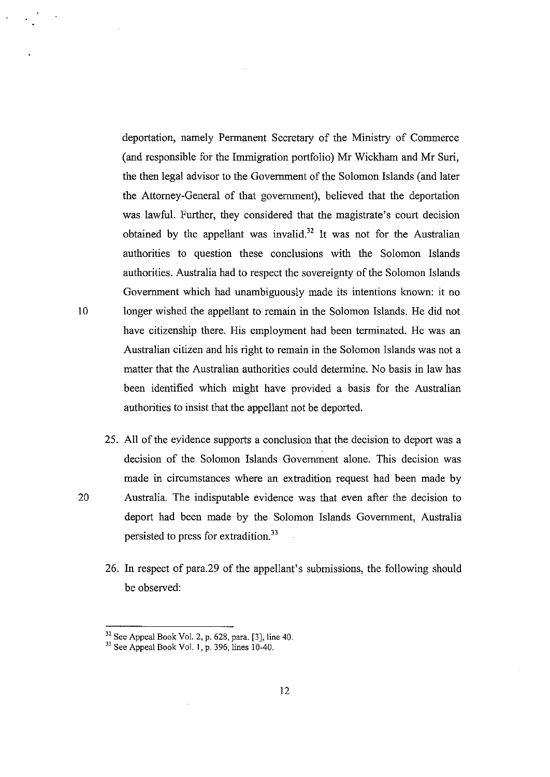deportation, namely Permanent Secretary of the Ministry of Commerce (and responsible for the Immigration portfolio) Mr Wickham and Mr Suri, the then legal advisor to the Government of the Solomon Islands (and later the Attorney-General of that government), believed that the deportation was lawful. Further, they considered that the magistrate's court decision obtained by the appellant was invalid.<sup>32</sup> It was not for the Australian authorities to question these conclusions with the Solomon Islands authorities. Australia had to respect the sovereignty of the Solomon Islands Government which had unambiguously made its intentions known: it no 10 longer wished the appellant to remain in the Solomon Islands. He did not have citizenship there. His employment had been terminated. He was an Australian citizen and his right to remain in the Solomon Islands was not a matter that the Australian authorities could determine. No basis in law has been identified which might have provided a basis for the Australian authorities to insist that the appellant not be deported.

- 25. All of the eyidence supports a conclusion that the decision to deport was a decision of the Solomon Islands Government alone. This decision was made in circumstances where an extradition request had been made by 20 Australia. The indisputable evidence was that even after the decision to deport had been made by the Solomon Islands Government, Australia persisted to press for extradition.<sup>33</sup>
	- 26. In respect of para.29 of the appellant's submissions, the following should be observed:

 $32$  See Appeal Book Vol. 2, p. 628, para. [3], line 40.

<sup>&</sup>lt;sup>33</sup> See Appeal Book Vol. 1, p. 396, lines 10-40.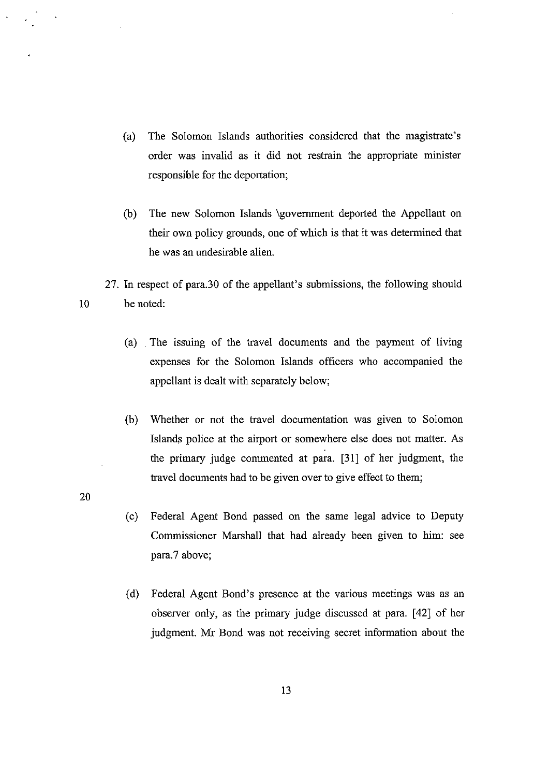- (a) The Solomon Islands authorities considered that the magistrate's order was invalid as it did not restrain the appropriate minister responsible for the deportation;
- (b) The new Solomon Islands \government deported the Appellant on their own policy grounds, one of which is that it was determined that he was an undesirable alien.

27. In respect of para.30 of the appellant's submissions, the following should 10 be noted:

- (a) . The issuing of the travel documents and the payment of living expenses for the Solomon Islands officers who accompanied the appellant is dealt with separately below;
- (b) Whether or not the travel documentation was given to Solomon Islands police at the airport or somewhere else does not matter. As the primary judge commented at para. [31] of her judgment, the travel documents had to be given over to give effect to them;

20

- (c) Federal Agent Bond passed on the same legal advice to Deputy Commissioner Marshall that had already been given to him: see para.7 above;
- (d) Federal Agent Bond's presence at the various meetings was as an observer only, as the primary judge discussed at para. [42] of her judgment. Mr Bond was not receiving secret information about the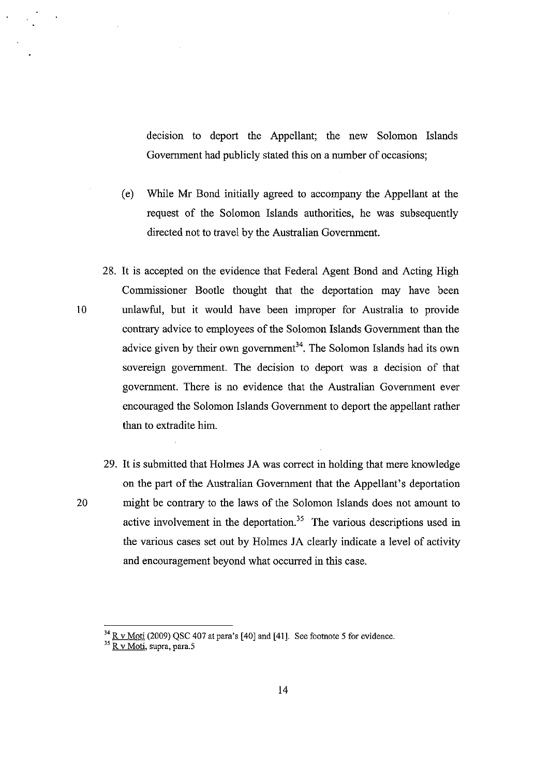decision to deport the Appellant; the new Solomon Islands Government had publicly stated this on a number of occasions;

- (e) While Mr Bond initially agreed to accompany the Appellant at the request of the Solomon Islands authorities, he was subsequently directed not to travel by the Australian Government.
- 28. It is accepted on the evidence that Federal Agent Bond and Acting High Commissioner Bootle thought that the deportation may have been 10 unlawful, but it would have been improper for Australia to provide contrary advice to employees of the Solomon Islands Government than the advice given by their own government<sup>34</sup>. The Solomon Islands had its own sovereign government. The decision to deport was a decision of that government. There is no evidence that the Australian Government ever encouraged the Solomon Islands Government to deport the appellant rather than to extradite him.
- 29. It is submitted that Holmes *lA* was correct in holding that mere knowledge on the part of the Australian Government that the Appellant's deportation 20 might be contrary to the laws of the Solomon Islands does not amount to active involvement in the deportation.<sup>35</sup> The various descriptions used in the various cases set out by Holmes *lA* clearly indicate a level of activity and encouragement beyond what occurred in this case.

 $34$  R v Moti (2009) QSC 407 at para's [40] and [41]. See footnote 5 for evidence.

**<sup>35</sup> R V Moti, supra, para.S**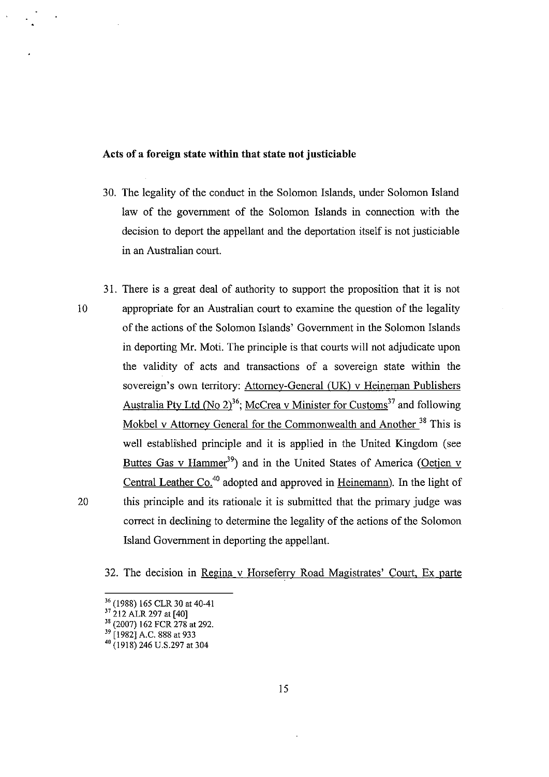# Acts **of a foreign** state **within that** state **not justiciable**

- 30. The legality of the conduct in the Solomon Islands, under Solomon Island law of the government of the Solomon Islands in connection with the decision to deport the appellant and the deportation itself is not justiciable in an Australian court.
- 31. There is a great deal of authority to support the proposition that it is not 10 appropriate for an Australian court to examine the question of the legality of the actions of the Solomon Islands' Government in the Solomon Islands in deporting Mr. Moti. The principle is that courts will not adjudicate upon the validity of acts and transactions of a sovereign state within the sovereign's own territory: Attorney-General (UK) v Heineman Publishers Australia Pty Ltd (No 2)<sup>36</sup>; McCrea v Minister for Customs<sup>37</sup> and following Mokbel v Attorney General for the Commonwealth and Another<sup>38</sup> This is well established principle and it is applied in the United Kingdom (see Buttes Gas v Hammer<sup>39</sup>) and in the United States of America (Oetjen v Central Leather Co.<sup>40</sup> adopted and approved in Heinemann). In the light of 20 this principle and its rationale it is submitted that the primary judge was correct in declining to determine the legality of the actions of the Solomon Island Government in deporting the appellant.

32. The decision in Regina v Horseferrv Road Magistrates' Court, Ex parte

<sup>&</sup>lt;sup>36</sup> (1988) 165 CLR 30 at 40-41

 $^{37}$  212 ALR 297 at [40]

<sup>38 (2007) 162</sup> FCR 278 at 292.

<sup>39 [1982]</sup> A.C. 888 at 933

<sup>40 (1918) 246</sup> U.S.297 at 304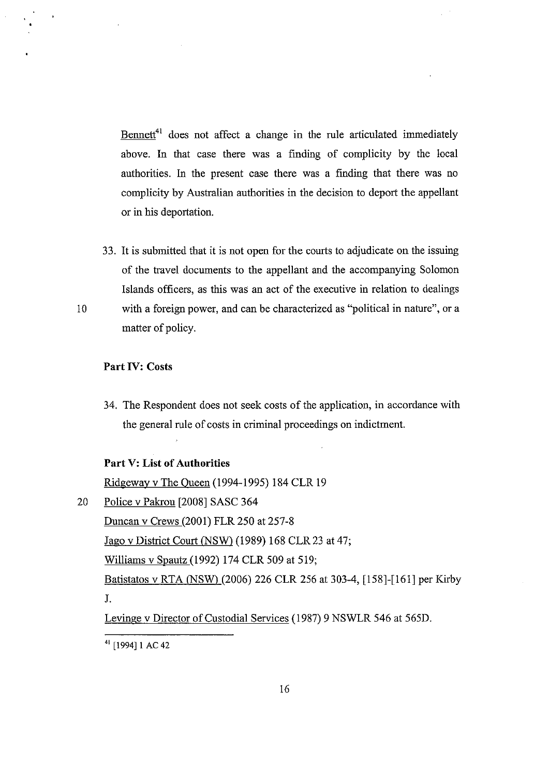Bennett<sup>41</sup> does not affect a change in the rule articulated immediately above. In that case there was a finding of complicity by the local authorities. In the present case there was a finding that there was no complicity by Australian authorities in the decision to deport the appellant or in his deportation.

33. It is submitted that it is not open for the courts to adjudicate on the issuing of the travel documents to the appellant and the accompanying Solomon Islands officers, as this was an act of the executive in relation to dealings 10 with a foreign power, and can be characterized as "political in nature", or a matter of policy.

# **Part IV:** Costs

34. The Respondent does not seek costs of the application, in accordance with the general rule of costs in criminal proceedings on indictment.

# **Part** V: **List of Authorities**

Ridgeway v The Queen (1994-1995) 184 CLR 19 20 Police v Pakrou [2008] SASC 364 Duncan v Crews (2001) FLR 250 at 257-8 Jago v District Court (NSW) (1989) 168 CLR 23 at 47; Williams v Spautz (1992) 174 CLR 509 at 519; Batistatos v RTA (NSW) (2006) 226 CLR 256 at 303-4, [158]-[161] per Kirby J.

Levinge v Director of Custodial Services (1987) 9 NSWLR 546 at 565D.

<sup>41 [1994]1</sup> AC 42